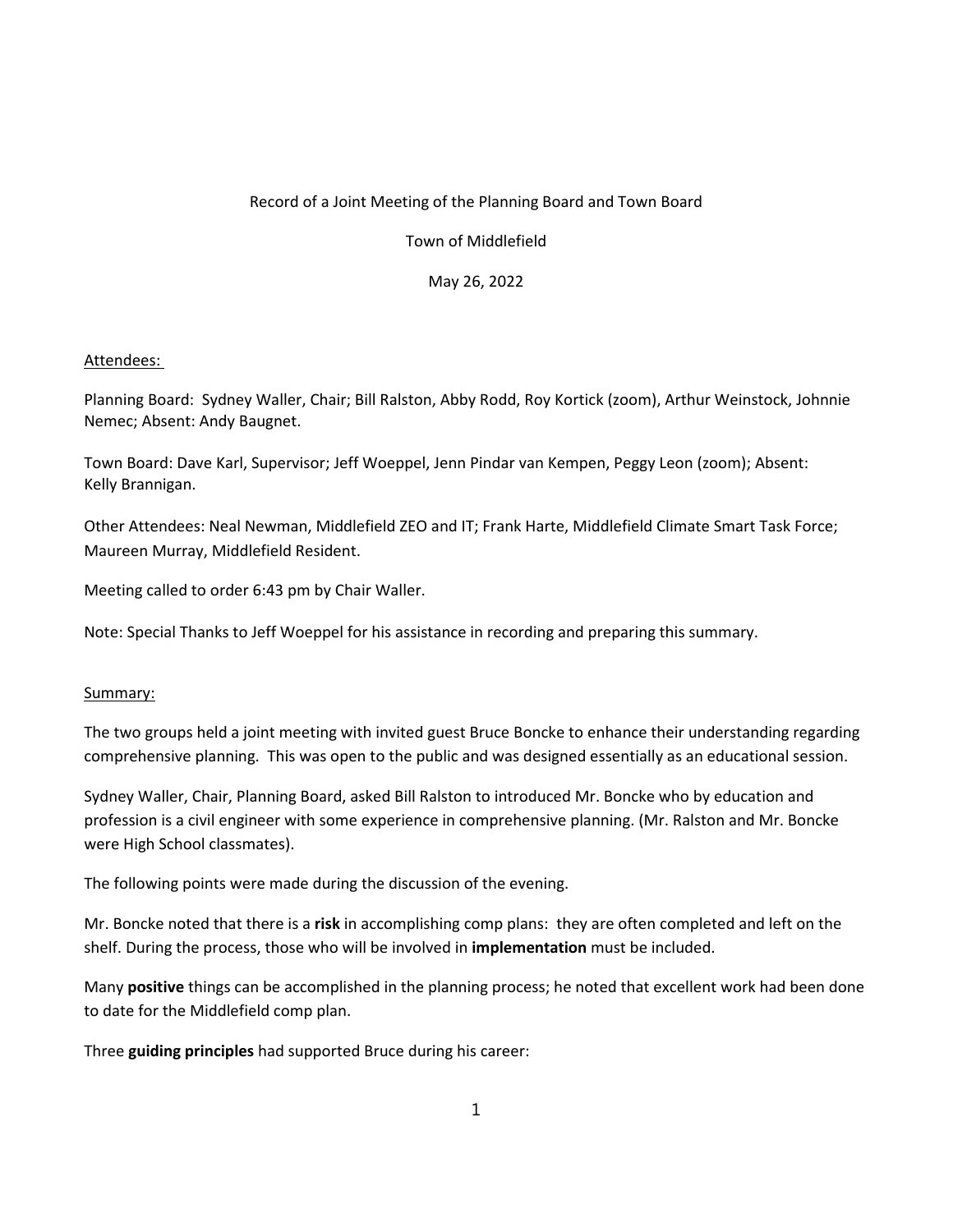## Record of a Joint Meeting of the Planning Board and Town Board

Town of Middlefield

May 26, 2022

## Attendees:

Planning Board: Sydney Waller, Chair; Bill Ralston, Abby Rodd, Roy Kortick (zoom), Arthur Weinstock, Johnnie Nemec; Absent: Andy Baugnet.

Town Board: Dave Karl, Supervisor; Jeff Woeppel, Jenn Pindar van Kempen, Peggy Leon (zoom); Absent: Kelly Brannigan.

Other Attendees: Neal Newman, Middlefield ZEO and IT; Frank Harte, Middlefield Climate Smart Task Force; Maureen Murray, Middlefield Resident.

Meeting called to order 6:43 pm by Chair Waller.

Note: Special Thanks to Jeff Woeppel for his assistance in recording and preparing this summary.

## Summary:

The two groups held a joint meeting with invited guest Bruce Boncke to enhance their understanding regarding comprehensive planning. This was open to the public and was designed essentially as an educational session.

Sydney Waller, Chair, Planning Board, asked Bill Ralston to introduced Mr. Boncke who by education and profession is a civil engineer with some experience in comprehensive planning. (Mr. Ralston and Mr. Boncke were High School classmates).

The following points were made during the discussion of the evening.

Mr. Boncke noted that there is a **risk** in accomplishing comp plans: they are often completed and left on the shelf. During the process, those who will be involved in **implementation** must be included.

Many **positive** things can be accomplished in the planning process; he noted that excellent work had been done to date for the Middlefield comp plan.

Three **guiding principles** had supported Bruce during his career: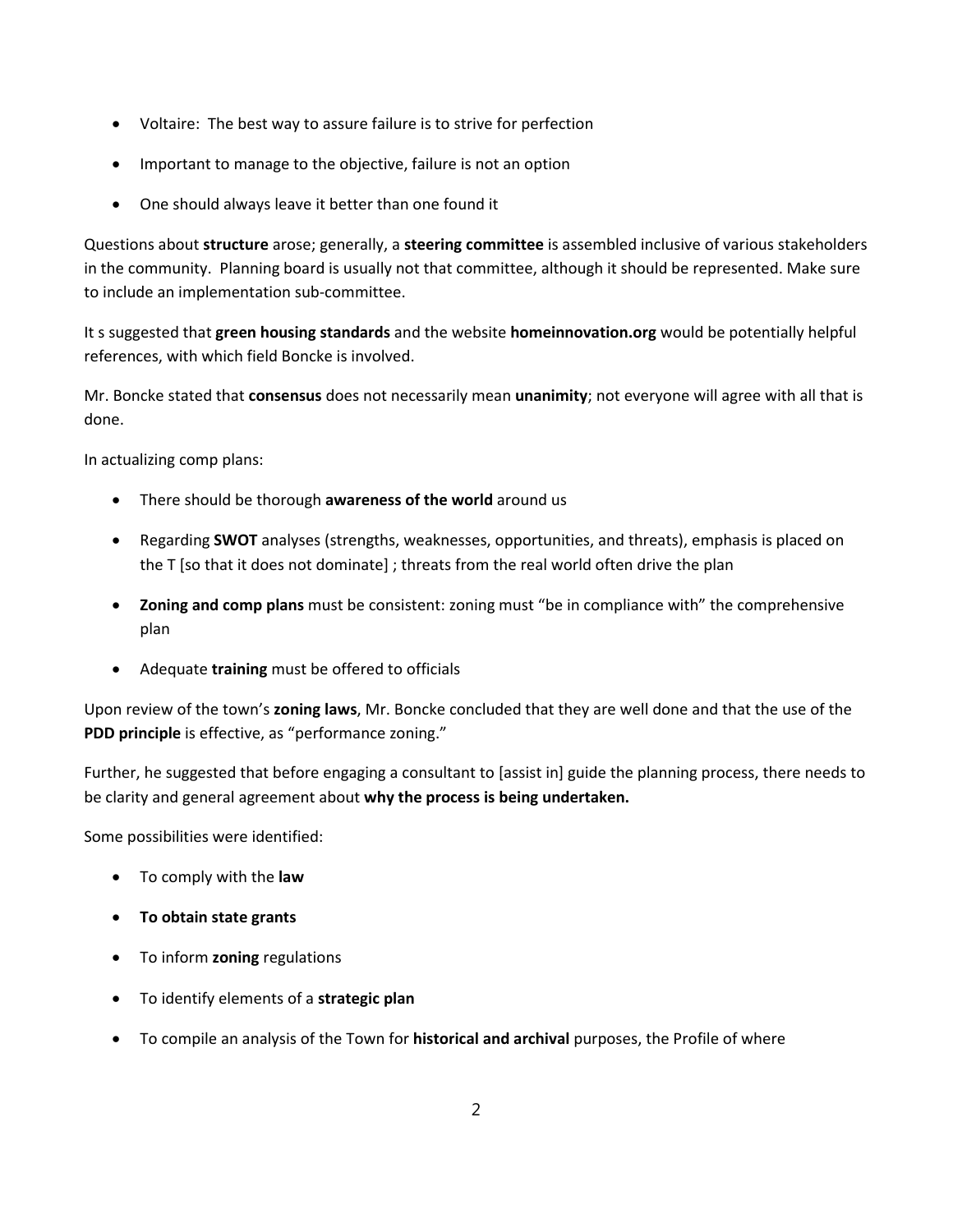- Voltaire: The best way to assure failure is to strive for perfection
- Important to manage to the objective, failure is not an option
- One should always leave it better than one found it

Questions about **structure** arose; generally, a **steering committee** is assembled inclusive of various stakeholders in the community. Planning board is usually not that committee, although it should be represented. Make sure to include an implementation sub-committee.

It s suggested that **green housing standards** and the website **homeinnovation.org** would be potentially helpful references, with which field Boncke is involved.

Mr. Boncke stated that **consensus** does not necessarily mean **unanimity**; not everyone will agree with all that is done.

In actualizing comp plans:

- There should be thorough **awareness of the world** around us
- Regarding **SWOT** analyses (strengths, weaknesses, opportunities, and threats), emphasis is placed on the T [so that it does not dominate] ; threats from the real world often drive the plan
- **Zoning and comp plans** must be consistent: zoning must "be in compliance with" the comprehensive plan
- Adequate **training** must be offered to officials

Upon review of the town's **zoning laws**, Mr. Boncke concluded that they are well done and that the use of the **PDD principle** is effective, as "performance zoning."

Further, he suggested that before engaging a consultant to [assist in] guide the planning process, there needs to be clarity and general agreement about **why the process is being undertaken.**

Some possibilities were identified:

- To comply with the **law**
- **To obtain state grants**
- To inform **zoning** regulations
- To identify elements of a **strategic plan**
- To compile an analysis of the Town for **historical and archival** purposes, the Profile of where